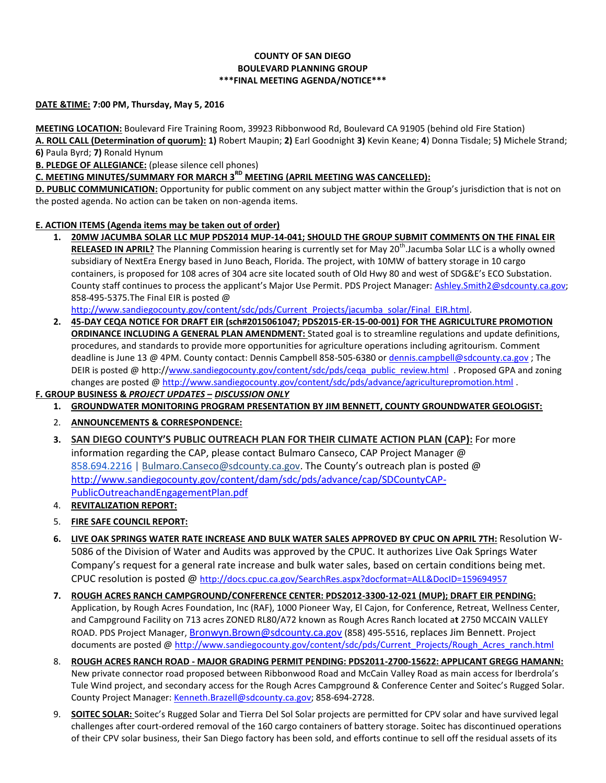### **COUNTY OF SAN DIEGO BOULEVARD PLANNING GROUP \*\*\*FINAL MEETING AGENDA/NOTICE\*\*\***

#### **DATE &TIME: 7:00 PM, Thursday, May 5, 2016**

**MEETING LOCATION:** Boulevard Fire Training Room, 39923 Ribbonwood Rd, Boulevard CA 91905 (behind old Fire Station) **A. ROLL CALL (Determination of quorum): 1)** Robert Maupin; **2)** Earl Goodnight **3)** Kevin Keane; **4**) Donna Tisdale; 5**)** Michele Strand; **6)** Paula Byrd; **7)** Ronald Hynum

**B. PLEDGE OF ALLEGIANCE:** (please silence cell phones)

# **C. MEETING MINUTES/SUMMARY FOR MARCH 3RD MEETING (APRIL MEETING WAS CANCELLED):**

**D. PUBLIC COMMUNICATION:** Opportunity for public comment on any subject matter within the Group's jurisdiction that is not on the posted agenda. No action can be taken on non-agenda items.

#### **E. ACTION ITEMS (Agenda items may be taken out of order)**

**1. 20MW JACUMBA SOLAR LLC MUP PDS2014 MUP-14-041; SHOULD THE GROUP SUBMIT COMMENTS ON THE FINAL EIR**  RELEASED IN APRIL? The Planning Commission hearing is currently set for May 20<sup>th</sup>.Jacumba Solar LLC is a wholly owned subsidiary of NextEra Energy based in Juno Beach, Florida. The project, with 10MW of battery storage in 10 cargo containers, is proposed for 108 acres of 304 acre site located south of Old Hwy 80 and west of SDG&E's ECO Substation. County staff continues to process the applicant's Major Use Permit. PDS Project Manager: [Ashley.Smith2@sdcounty.ca.gov;](mailto:Ashley.Smith2@sdcounty.ca.gov) 858-495-5375.The Final EIR is posted @

[http://www.sandiegocounty.gov/content/sdc/pds/Current\\_Projects/jacumba\\_solar/Final\\_EIR.html.](http://www.sandiegocounty.gov/content/sdc/pds/Current_Projects/jacumba_solar/Final_EIR.html)

**2. 45-DAY CEQA NOTICE FOR DRAFT EIR (sch#2015061047; PDS2015-ER-15-00-001) FOR THE AGRICULTURE PROMOTION ORDINANCE INCLUDING A GENERAL PLAN AMENDMENT:** Stated goal is to streamline regulations and update definitions, procedures, and standards to provide more opportunities for agriculture operations including agritourism. Comment deadline is June 13 @ 4PM. County contact: Dennis Campbell 858-505-6380 or [dennis.campbell@sdcounty.ca.gov](mailto:dennis.campbell@sdcounty.ca.gov); The DEIR is posted @ http:/[/www.sandiegocounty.gov/content/sdc/pds/ceqa\\_public\\_review.html](http://www.sandiegocounty.gov/content/sdc/pds/ceqa_public_review.html) . Proposed GPA and zoning changes are posted @<http://www.sandiegocounty.gov/content/sdc/pds/advance/agriculturepromotion.html> .

## **F. GROUP BUSINESS &** *PROJECT UPDATES* **–** *DISCUSSION ONLY*

- **1. GROUNDWATER MONITORING PROGRAM PRESENTATION BY JIM BENNETT, COUNTY GROUNDWATER GEOLOGIST:**
- 2. **ANNOUNCEMENTS & CORRESPONDENCE:**
- **3. SAN DIEGO COUNTY'S PUBLIC OUTREACH PLAN FOR THEIR CLIMATE ACTION PLAN (CAP):** For more information regarding the CAP, please contact Bulmaro Canseco, CAP Project Manager  $\omega$ [858.694.2216](tel:858.694.2216) | [Bulmaro.Canseco@sdcounty.ca.gov](mailto:Bulmaro.Canseco@sdcounty.ca.gov). The County's outreach plan is posted @ [http://www.sandiegocounty.gov/content/dam/sdc/pds/advance/cap/SDCountyCAP-](http://www.sandiegocounty.gov/content/dam/sdc/pds/advance/cap/SDCountyCAP-PublicOutreachandEngagementPlan.pdf)[PublicOutreachandEngagementPlan.pdf](http://www.sandiegocounty.gov/content/dam/sdc/pds/advance/cap/SDCountyCAP-PublicOutreachandEngagementPlan.pdf)
- 4. **REVITALIZATION REPORT:**
- 5. **FIRE SAFE COUNCIL REPORT:**
- **6. LIVE OAK SPRINGS WATER RATE INCREASE AND BULK WATER SALES APPROVED BY CPUC ON APRIL 7TH:** Resolution W-5086 of the Division of Water and Audits was approved by the CPUC. It authorizes Live Oak Springs Water Company's request for a general rate increase and bulk water sales, based on certain conditions being met. CPUC resolution is posted @ <http://docs.cpuc.ca.gov/SearchRes.aspx?docformat=ALL&DocID=159694957>
- **7. ROUGH ACRES RANCH CAMPGROUND/CONFERENCE CENTER: PDS2012-3300-12-021 (MUP); DRAFT EIR PENDING:** Application, by Rough Acres Foundation, Inc (RAF), 1000 Pioneer Way, El Cajon, for Conference, Retreat, Wellness Center, and Campground Facility on 713 acres ZONED RL80/A72 known as Rough Acres Ranch located a**t** 2750 MCCAIN VALLEY ROAD. PDS Project Manager, [Bronwyn.Brown@sdcounty.ca.gov](mailto:Bronwyn.Brown@sdcounty.ca.gov) (858) 495-5516, replaces Jim Bennett. Project documents are posted [@ http://www.sandiegocounty.gov/content/sdc/pds/Current\\_Projects/Rough\\_Acres\\_ranch.html](http://www.sandiegocounty.gov/content/sdc/pds/Current_Projects/Rough_Acres_ranch.html)
- 8. **ROUGH ACRES RANCH ROAD - MAJOR GRADING PERMIT PENDING: PDS2011-2700-15622: APPLICANT GREGG HAMANN:** New private connector road proposed between Ribbonwood Road and McCain Valley Road as main access for Iberdrola's Tule Wind project, and secondary access for the Rough Acres Campground & Conference Center and Soitec's Rugged Solar. County Project Manager: [Kenneth.Brazell@sdcounty.ca.gov;](mailto:Kenneth.Brazell@sdcounty.ca.gov) 858-694-2728.
- 9. **SOITEC SOLAR:** Soitec's Rugged Solar and Tierra Del Sol Solar projects are permitted for CPV solar and have survived legal challenges after court-ordered removal of the 160 cargo containers of battery storage. Soitec has discontinued operations of their CPV solar business, their San Diego factory has been sold, and efforts continue to sell off the residual assets of its